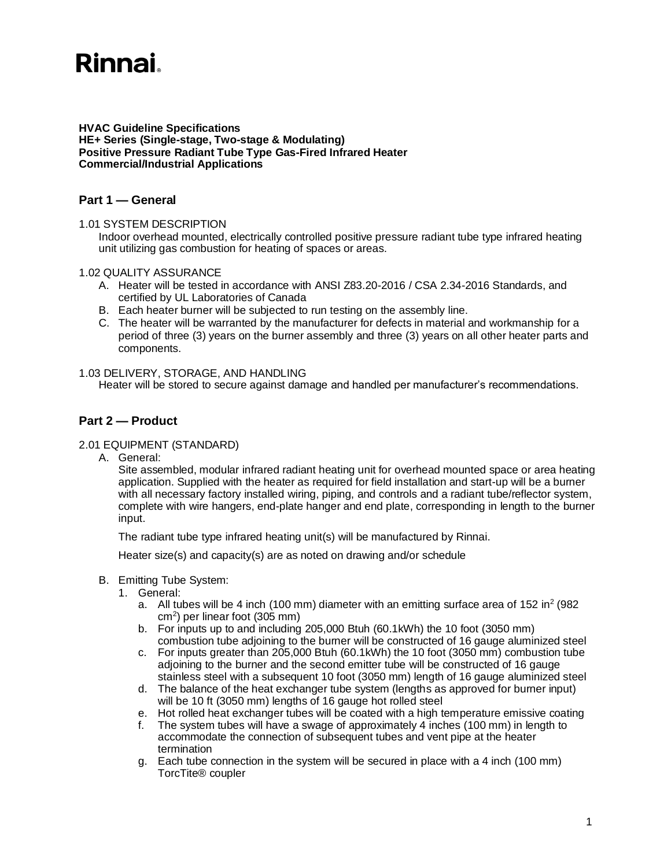# **Rinnai**

**HVAC Guideline Specifications HE+ Series (Single-stage, Two-stage & Modulating) Positive Pressure Radiant Tube Type Gas-Fired Infrared Heater Commercial/Industrial Applications**

## **Part 1 — General**

### 1.01 SYSTEM DESCRIPTION

Indoor overhead mounted, electrically controlled positive pressure radiant tube type infrared heating unit utilizing gas combustion for heating of spaces or areas.

### 1.02 QUALITY ASSURANCE

- A. Heater will be tested in accordance with ANSI Z83.20-2016 / CSA 2.34-2016 Standards, and certified by UL Laboratories of Canada
- B. Each heater burner will be subjected to run testing on the assembly line.
- C. The heater will be warranted by the manufacturer for defects in material and workmanship for a period of three (3) years on the burner assembly and three (3) years on all other heater parts and components.

#### 1.03 DELIVERY, STORAGE, AND HANDLING

Heater will be stored to secure against damage and handled per manufacturer's recommendations.

# **Part 2 — Product**

#### 2.01 EQUIPMENT (STANDARD)

A. General:

Site assembled, modular infrared radiant heating unit for overhead mounted space or area heating application. Supplied with the heater as required for field installation and start-up will be a burner with all necessary factory installed wiring, piping, and controls and a radiant tube/reflector system, complete with wire hangers, end-plate hanger and end plate, corresponding in length to the burner input.

The radiant tube type infrared heating unit(s) will be manufactured by Rinnai.

Heater size(s) and capacity(s) are as noted on drawing and/or schedule

- B. Emitting Tube System:
	- 1. General:
		- a. All tubes will be 4 inch (100 mm) diameter with an emitting surface area of 152 in<sup>2</sup> (982 cm<sup>2</sup> ) per linear foot (305 mm)
		- b. For inputs up to and including 205,000 Btuh (60.1kWh) the 10 foot (3050 mm) combustion tube adjoining to the burner will be constructed of 16 gauge aluminized steel
		- c. For inputs greater than 205,000 Btuh (60.1kWh) the 10 foot (3050 mm) combustion tube adjoining to the burner and the second emitter tube will be constructed of 16 gauge stainless steel with a subsequent 10 foot (3050 mm) length of 16 gauge aluminized steel
		- d. The balance of the heat exchanger tube system (lengths as approved for burner input) will be 10 ft (3050 mm) lengths of 16 gauge hot rolled steel
		- e. Hot rolled heat exchanger tubes will be coated with a high temperature emissive coating
		- f. The system tubes will have a swage of approximately 4 inches (100 mm) in length to accommodate the connection of subsequent tubes and vent pipe at the heater termination
		- g. Each tube connection in the system will be secured in place with a 4 inch (100 mm) TorcTite® coupler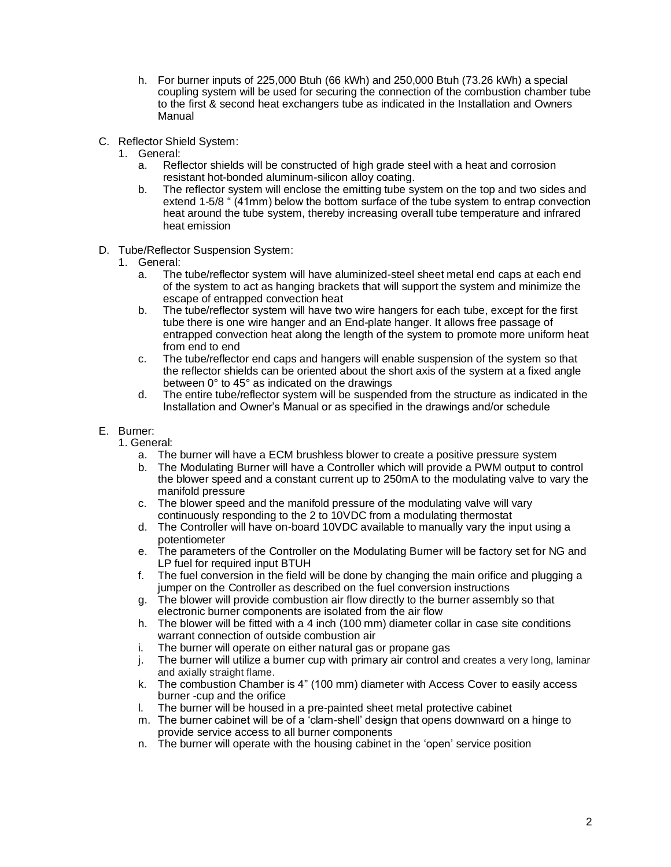- h. For burner inputs of 225,000 Btuh (66 kWh) and 250,000 Btuh (73.26 kWh) a special coupling system will be used for securing the connection of the combustion chamber tube to the first & second heat exchangers tube as indicated in the Installation and Owners Manual
- C. Reflector Shield System:
	- 1. General:
		- a. Reflector shields will be constructed of high grade steel with a heat and corrosion resistant hot-bonded aluminum-silicon alloy coating.
		- b. The reflector system will enclose the emitting tube system on the top and two sides and extend 1-5/8 " (41mm) below the bottom surface of the tube system to entrap convection heat around the tube system, thereby increasing overall tube temperature and infrared heat emission
- D. Tube/Reflector Suspension System:
	- 1. General:
		- a. The tube/reflector system will have aluminized-steel sheet metal end caps at each end of the system to act as hanging brackets that will support the system and minimize the escape of entrapped convection heat
		- b. The tube/reflector system will have two wire hangers for each tube, except for the first tube there is one wire hanger and an End-plate hanger. It allows free passage of entrapped convection heat along the length of the system to promote more uniform heat from end to end
		- c. The tube/reflector end caps and hangers will enable suspension of the system so that the reflector shields can be oriented about the short axis of the system at a fixed angle between 0° to 45° as indicated on the drawings
		- d. The entire tube/reflector system will be suspended from the structure as indicated in the Installation and Owner's Manual or as specified in the drawings and/or schedule
- E. Burner:
	- 1. General:
		- a. The burner will have a ECM brushless blower to create a positive pressure system
		- b. The Modulating Burner will have a Controller which will provide a PWM output to control the blower speed and a constant current up to 250mA to the modulating valve to vary the manifold pressure
		- c. The blower speed and the manifold pressure of the modulating valve will vary continuously responding to the 2 to 10VDC from a modulating thermostat
		- d. The Controller will have on-board 10VDC available to manually vary the input using a potentiometer
		- e. The parameters of the Controller on the Modulating Burner will be factory set for NG and LP fuel for required input BTUH
		- f. The fuel conversion in the field will be done by changing the main orifice and plugging a jumper on the Controller as described on the fuel conversion instructions
		- g. The blower will provide combustion air flow directly to the burner assembly so that electronic burner components are isolated from the air flow
		- h. The blower will be fitted with a 4 inch (100 mm) diameter collar in case site conditions warrant connection of outside combustion air
		- i. The burner will operate on either natural gas or propane gas
		- j. The burner will utilize a burner cup with primary air control and creates a very long, laminar and axially straight flame.
		- k. The combustion Chamber is 4" (100 mm) diameter with Access Cover to easily access burner -cup and the orifice
		- l. The burner will be housed in a pre-painted sheet metal protective cabinet
		- m. The burner cabinet will be of a 'clam-shell' design that opens downward on a hinge to provide service access to all burner components
		- n. The burner will operate with the housing cabinet in the 'open' service position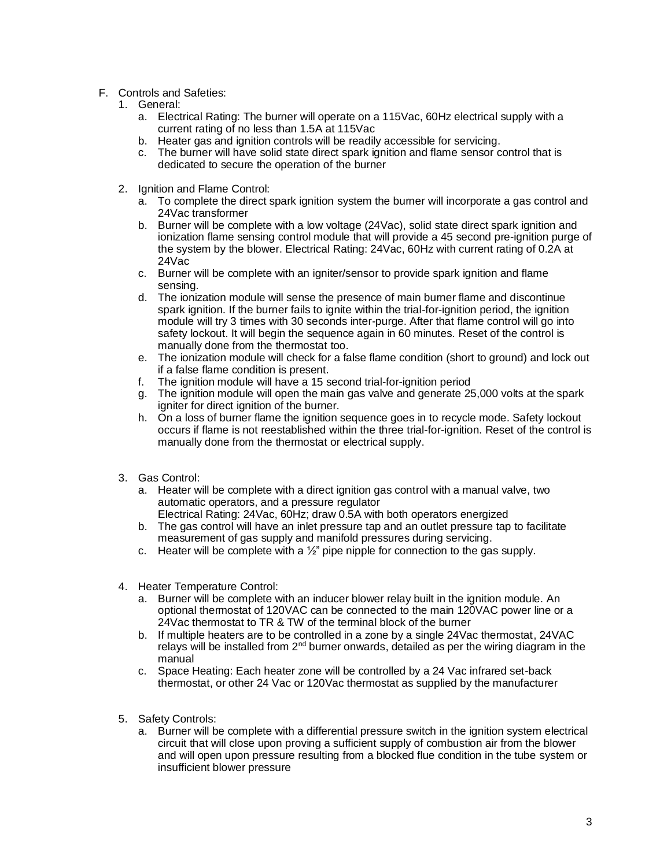## F. Controls and Safeties:

- 1. General:
	- a. Electrical Rating: The burner will operate on a 115Vac, 60Hz electrical supply with a current rating of no less than 1.5A at 115Vac
	- b. Heater gas and ignition controls will be readily accessible for servicing.
	- c. The burner will have solid state direct spark ignition and flame sensor control that is dedicated to secure the operation of the burner
- 2. Ignition and Flame Control:
	- a. To complete the direct spark ignition system the burner will incorporate a gas control and 24Vac transformer
	- b. Burner will be complete with a low voltage (24Vac), solid state direct spark ignition and ionization flame sensing control module that will provide a 45 second pre-ignition purge of the system by the blower. Electrical Rating: 24Vac, 60Hz with current rating of 0.2A at 24Vac
	- c. Burner will be complete with an igniter/sensor to provide spark ignition and flame sensing.
	- d. The ionization module will sense the presence of main burner flame and discontinue spark ignition. If the burner fails to ignite within the trial-for-ignition period, the ignition module will try 3 times with 30 seconds inter-purge. After that flame control will go into safety lockout. It will begin the sequence again in 60 minutes. Reset of the control is manually done from the thermostat too.
	- e. The ionization module will check for a false flame condition (short to ground) and lock out if a false flame condition is present.
	- f. The ignition module will have a 15 second trial-for-ignition period
	- g. The ignition module will open the main gas valve and generate 25,000 volts at the spark igniter for direct ignition of the burner.
	- h. On a loss of burner flame the ignition sequence goes in to recycle mode. Safety lockout occurs if flame is not reestablished within the three trial-for-ignition. Reset of the control is manually done from the thermostat or electrical supply.
- 3. Gas Control:
	- a. Heater will be complete with a direct ignition gas control with a manual valve, two automatic operators, and a pressure regulator
	- Electrical Rating: 24Vac, 60Hz; draw 0.5A with both operators energized b. The gas control will have an inlet pressure tap and an outlet pressure tap to facilitate
	- measurement of gas supply and manifold pressures during servicing.
	- c. Heater will be complete with a ½" pipe nipple for connection to the gas supply.
- 4. Heater Temperature Control:
	- a. Burner will be complete with an inducer blower relay built in the ignition module. An optional thermostat of 120VAC can be connected to the main 120VAC power line or a 24Vac thermostat to TR & TW of the terminal block of the burner
	- b. If multiple heaters are to be controlled in a zone by a single 24Vac thermostat, 24VAC relays will be installed from  $2<sup>nd</sup>$  burner onwards, detailed as per the wiring diagram in the manual
	- c. Space Heating: Each heater zone will be controlled by a 24 Vac infrared set-back thermostat, or other 24 Vac or 120Vac thermostat as supplied by the manufacturer
- 5. Safety Controls:
	- a. Burner will be complete with a differential pressure switch in the ignition system electrical circuit that will close upon proving a sufficient supply of combustion air from the blower and will open upon pressure resulting from a blocked flue condition in the tube system or insufficient blower pressure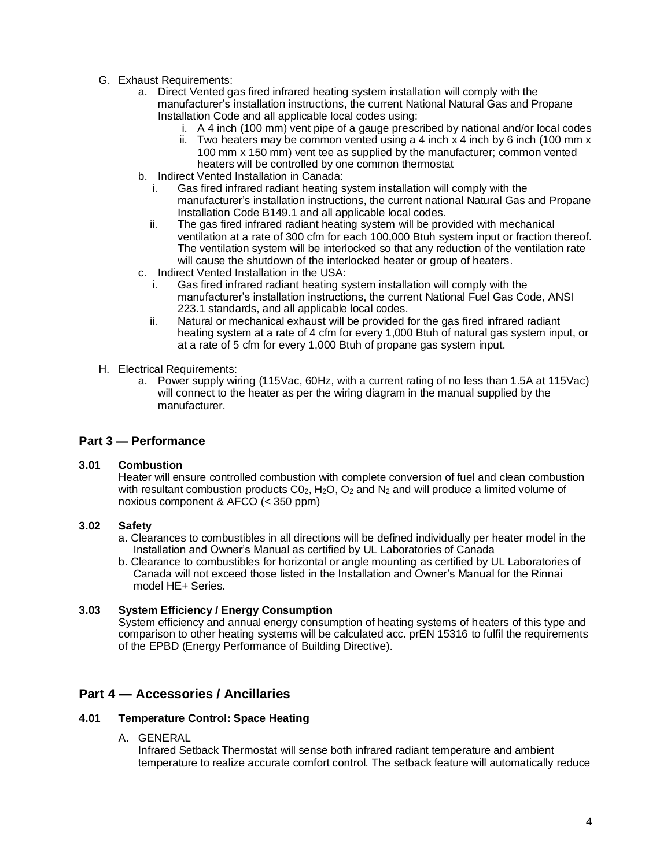- G. Exhaust Requirements:
	- a. Direct Vented gas fired infrared heating system installation will comply with the manufacturer's installation instructions, the current National Natural Gas and Propane Installation Code and all applicable local codes using:
		- i. A 4 inch (100 mm) vent pipe of a gauge prescribed by national and/or local codes
		- ii. Two heaters may be common vented using a 4 inch  $\times$  4 inch by 6 inch (100 mm  $\times$ 100 mm x 150 mm) vent tee as supplied by the manufacturer; common vented heaters will be controlled by one common thermostat
	- b. Indirect Vented Installation in Canada:
		- i. Gas fired infrared radiant heating system installation will comply with the manufacturer's installation instructions, the current national Natural Gas and Propane Installation Code B149.1 and all applicable local codes.
		- ii. The gas fired infrared radiant heating system will be provided with mechanical ventilation at a rate of 300 cfm for each 100,000 Btuh system input or fraction thereof. The ventilation system will be interlocked so that any reduction of the ventilation rate will cause the shutdown of the interlocked heater or group of heaters.
	- c. Indirect Vented Installation in the USA:
		- i. Gas fired infrared radiant heating system installation will comply with the manufacturer's installation instructions, the current National Fuel Gas Code, ANSI 223.1 standards, and all applicable local codes.
		- ii. Natural or mechanical exhaust will be provided for the gas fired infrared radiant heating system at a rate of 4 cfm for every 1,000 Btuh of natural gas system input, or at a rate of 5 cfm for every 1,000 Btuh of propane gas system input.
- H. Electrical Requirements:
	- a. Power supply wiring (115Vac, 60Hz, with a current rating of no less than 1.5A at 115Vac) will connect to the heater as per the wiring diagram in the manual supplied by the manufacturer.

## **Part 3 — Performance**

## **3.01 Combustion**

Heater will ensure controlled combustion with complete conversion of fuel and clean combustion with resultant combustion products  $C_0$ , H<sub>2</sub>O, O<sub>2</sub> and N<sub>2</sub> and will produce a limited volume of noxious component & AFCO (< 350 ppm)

## **3.02 Safety**

- a. Clearances to combustibles in all directions will be defined individually per heater model in the Installation and Owner's Manual as certified by UL Laboratories of Canada
- b. Clearance to combustibles for horizontal or angle mounting as certified by UL Laboratories of Canada will not exceed those listed in the Installation and Owner's Manual for the Rinnai model HE+ Series.

## **3.03 System Efficiency / Energy Consumption**

System efficiency and annual energy consumption of heating systems of heaters of this type and comparison to other heating systems will be calculated acc. prEN 15316 to fulfil the requirements of the EPBD (Energy Performance of Building Directive).

# **Part 4 — Accessories / Ancillaries**

## **4.01 Temperature Control: Space Heating**

A. GENERAL

Infrared Setback Thermostat will sense both infrared radiant temperature and ambient temperature to realize accurate comfort control. The setback feature will automatically reduce